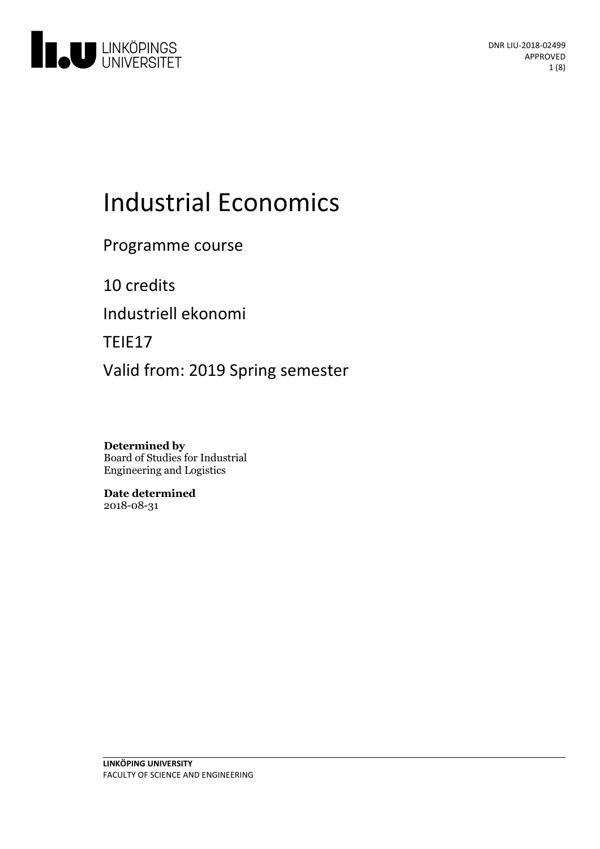

# **Industrial Economics**

Programme course

10 credits Industriell ekonomi

TEIE17

Valid from: 2019 Spring semester

**Determined by** Board of Studies for Industrial Engineering and Logistics

**Date determined** 2018-08-31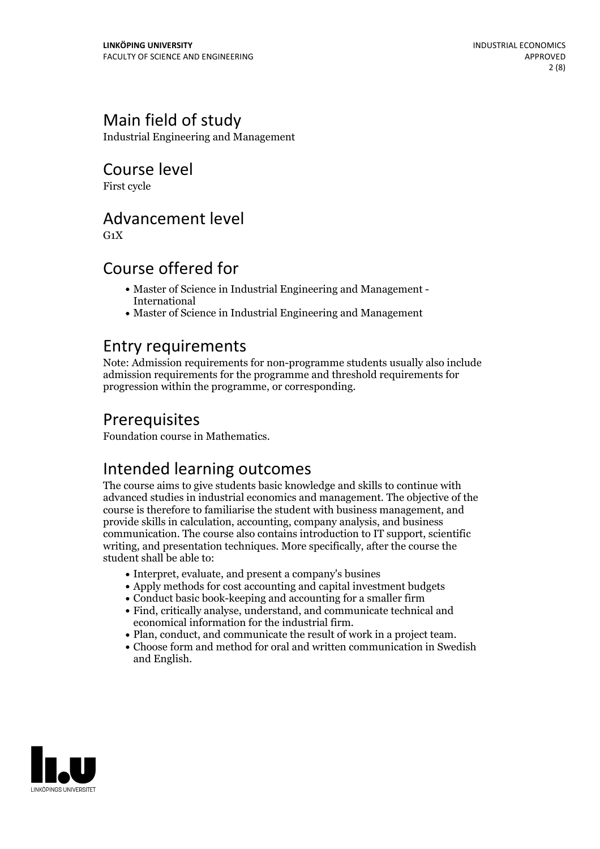# Main field of study

Industrial Engineering and Management

Course level

First cycle

# Advancement level

 $G_1X$ 

# Course offered for

- Master of Science in Industrial Engineering and Management International
- Master of Science in Industrial Engineering and Management

### Entry requirements

Note: Admission requirements for non-programme students usually also include admission requirements for the programme and threshold requirements for progression within the programme, or corresponding.

# **Prerequisites**

Foundation course in Mathematics.

# Intended learning outcomes

The course aims to give students basic knowledge and skills to continue with advanced studies in industrial economics and management. The objective of the course is therefore to familiarise the student with business management, and provide skills in calculation, accounting, company analysis, and business communication. The course also contains introduction to IT support, scientific writing, and presentation techniques. More specifically, after the course the student shall be able to:

- Interpret, evaluate, and present a company's busines
- Apply methods for cost accounting and capital investment budgets
- Conduct basic book-keeping and accounting for a smaller firm
- Find, critically analyse, understand, and communicate technical and
- 
- Plan, conduct, and communicate the result of work in a project team.<br>• Choose form and method for oral and written communication in Swedish and English.

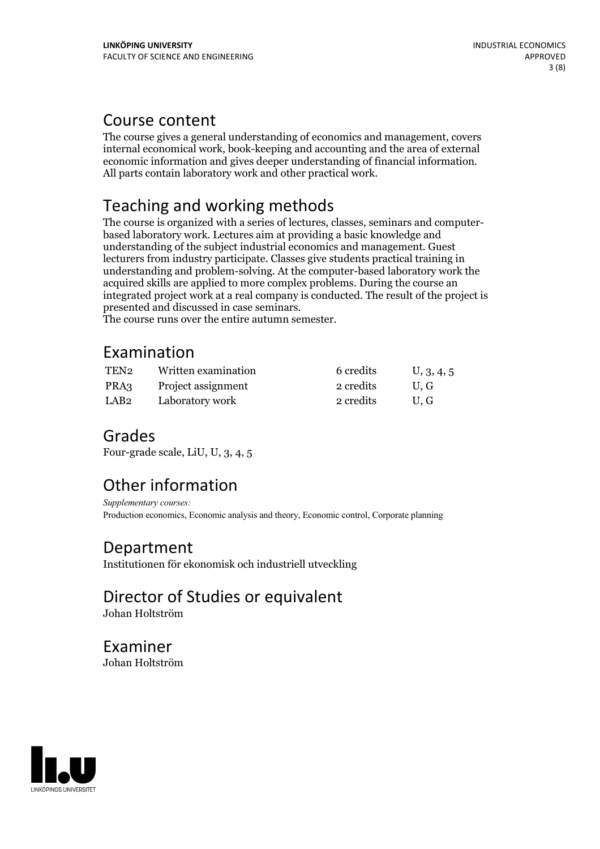# Course content

The course gives a general understanding of economics and management, covers internal economical work, book-keeping and accounting and the area of external economic information and gives deeper understanding of financial information. All parts contain laboratory work and other practical work.

# Teaching and working methods

The course is organized with <sup>a</sup> series of lectures, classes, seminars and computer- based laboratory work. Lectures aim at providing <sup>a</sup> basic knowledge and understanding of the subject industrial economics and management. Guest lecturers from industry participate. Classes give students practical training in understanding and problem-solving. At the computer-based laboratory work the acquired skills are applied to more complex problems. During the course an integrated project work at a real company is conducted. The result of the project is

The course runs over the entire autumn semester.

# Examination

| TEN <sub>2</sub> | Written examination | 6 credits | U, 3, 4, 5 |
|------------------|---------------------|-----------|------------|
| PRA3             | Project assignment  | 2 credits | U.G        |
| LAB2             | Laboratory work     | 2 credits | U.G        |

# Grades

Four-grade scale, LiU, U, 3, 4, 5

# Other information

*Supplementary courses:* Production economics, Economic analysis and theory, Economic control, Corporate planning

# Department

Institutionen för ekonomisk och industriell utveckling

# Director of Studies or equivalent

Johan Holtström

Examiner Johan Holtström

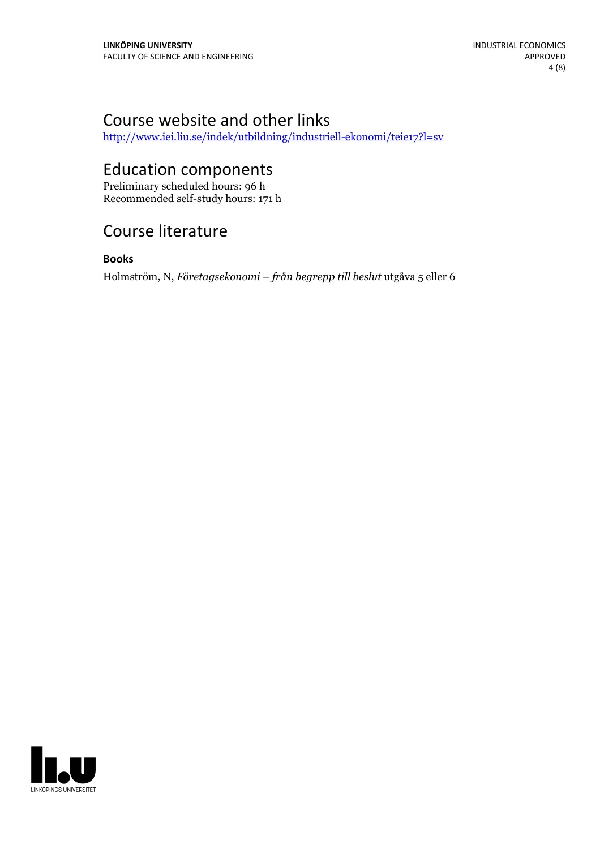# Course website and other links

<http://www.iei.liu.se/indek/utbildning/industriell-ekonomi/teie17?l=sv>

# Education components

Preliminary scheduled hours: 96 h Recommended self-study hours: 171 h

# Course literature

#### **Books**

Holmström, N, *Företagsekonomi – från begrepp till beslut* utgåva 5 eller 6

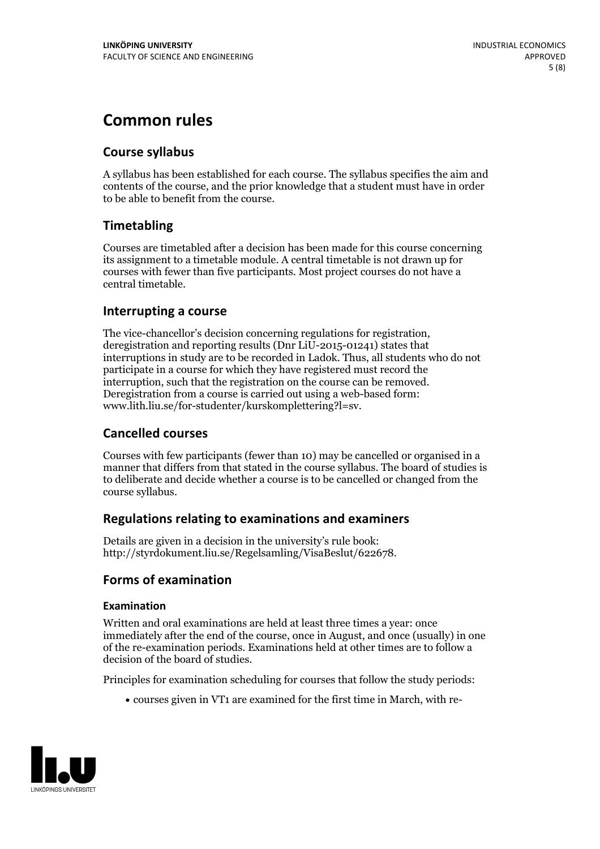# **Common rules**

#### **Course syllabus**

A syllabus has been established for each course. The syllabus specifies the aim and contents of the course, and the prior knowledge that a student must have in order to be able to benefit from the course.

#### **Timetabling**

Courses are timetabled after a decision has been made for this course concerning its assignment to a timetable module. A central timetable is not drawn up for courses with fewer than five participants. Most project courses do not have a central timetable.

#### **Interrupting a course**

The vice-chancellor's decision concerning regulations for registration, deregistration and reporting results (Dnr LiU-2015-01241) states that interruptions in study are to be recorded in Ladok. Thus, all students who do not participate in a course for which they have registered must record the interruption, such that the registration on the course can be removed. Deregistration from <sup>a</sup> course is carried outusing <sup>a</sup> web-based form: www.lith.liu.se/for-studenter/kurskomplettering?l=sv.

#### **Cancelled courses**

Courses with few participants (fewer than 10) may be cancelled or organised in a manner that differs from that stated in the course syllabus. The board of studies is to deliberate and decide whether a course is to be cancelled orchanged from the course syllabus.

#### **Regulations relatingto examinations and examiners**

Details are given in a decision in the university's rule book: http://styrdokument.liu.se/Regelsamling/VisaBeslut/622678.

#### **Forms of examination**

#### **Examination**

Written and oral examinations are held at least three times a year: once immediately after the end of the course, once in August, and once (usually) in one of the re-examination periods. Examinations held at other times are to follow a decision of the board of studies.

Principles for examination scheduling for courses that follow the study periods:

courses given in VT1 are examined for the first time in March, with re-

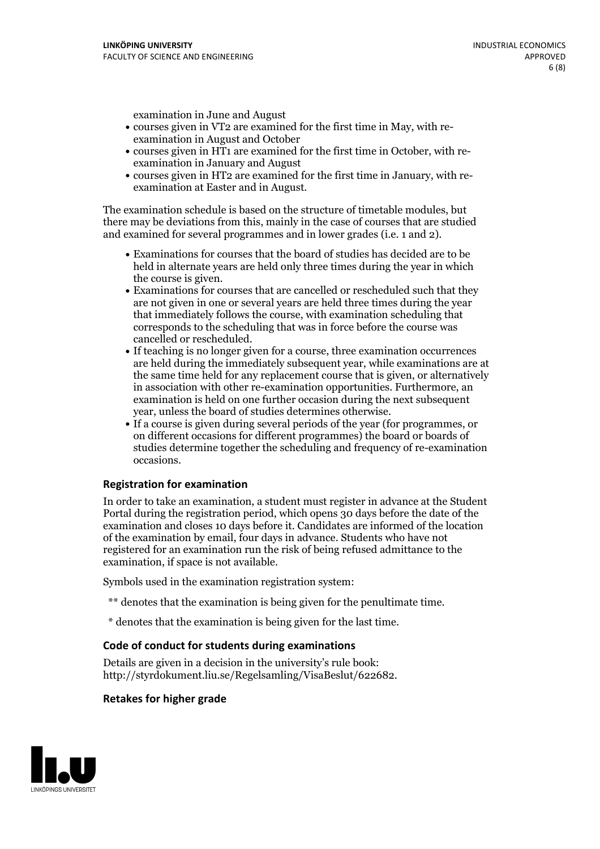examination in June and August

- courses given in VT2 are examined for the first time in May, with re-examination in August and October
- courses given in HT1 are examined for the first time in October, with re-examination in January and August
- courses given in HT2 are examined for the first time in January, with re-examination at Easter and in August.

The examination schedule is based on the structure of timetable modules, but there may be deviations from this, mainly in the case of courses that are studied and examined for several programmes and in lower grades (i.e. 1 and 2).

- Examinations for courses that the board of studies has decided are to be held in alternate years are held only three times during the year in which
- the course is given.<br>• Examinations for courses that are cancelled or rescheduled such that they are not given in one or several years are held three times during the year that immediately follows the course, with examination scheduling that corresponds to the scheduling that was in force before the course was cancelled or rescheduled.<br>• If teaching is no longer given for a course, three examination occurrences
- are held during the immediately subsequent year, while examinations are at the same time held for any replacement course that is given, or alternatively in association with other re-examination opportunities. Furthermore, an examination is held on one further occasion during the next subsequent year, unless the board of studies determines otherwise.<br>• If a course is given during several periods of the year (for programmes, or
- on different occasions for different programmes) the board orboards of studies determine together the scheduling and frequency of re-examination occasions.

#### **Registration for examination**

In order to take an examination, a student must register in advance at the Student Portal during the registration period, which opens 30 days before the date of the examination and closes 10 days before it. Candidates are informed of the location of the examination by email, four days in advance. Students who have not registered for an examination run the risk of being refused admittance to the examination, if space is not available.

Symbols used in the examination registration system:

- \*\* denotes that the examination is being given for the penultimate time.
- \* denotes that the examination is being given for the last time.

#### **Code of conduct for students during examinations**

Details are given in a decision in the university's rule book: http://styrdokument.liu.se/Regelsamling/VisaBeslut/622682.

#### **Retakes for higher grade**

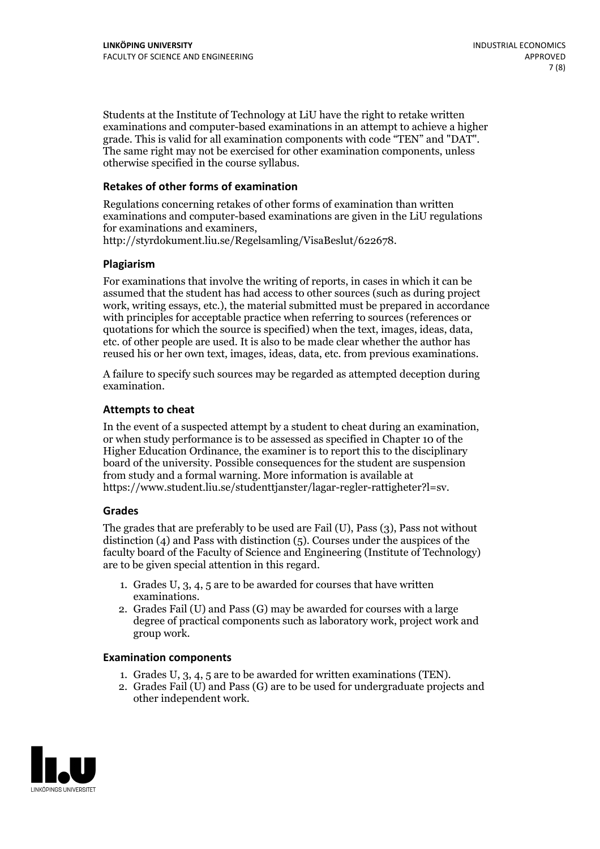Students at the Institute of Technology at LiU have the right to retake written examinations and computer-based examinations in an attempt to achieve a higher grade. This is valid for all examination components with code "TEN" and "DAT". The same right may not be exercised for other examination components, unless otherwise specified in the course syllabus.

#### **Retakes of other forms of examination**

Regulations concerning retakes of other forms of examination than written examinations and computer-based examinations are given in the LiU regulations for examinations and examiners, http://styrdokument.liu.se/Regelsamling/VisaBeslut/622678.

#### **Plagiarism**

For examinations that involve the writing of reports, in cases in which it can be assumed that the student has had access to other sources (such as during project work, writing essays, etc.), the material submitted must be prepared in accordance with principles for acceptable practice when referring to sources (references or quotations for which the source is specified) when the text, images, ideas, data, etc. of other people are used. It is also to be made clear whether the author has reused his or her own text, images, ideas, data, etc. from previous examinations.

A failure to specify such sources may be regarded as attempted deception during examination.

#### **Attempts to cheat**

In the event of <sup>a</sup> suspected attempt by <sup>a</sup> student to cheat during an examination, or when study performance is to be assessed as specified in Chapter <sup>10</sup> of the Higher Education Ordinance, the examiner is to report this to the disciplinary board of the university. Possible consequences for the student are suspension from study and a formal warning. More information is available at https://www.student.liu.se/studenttjanster/lagar-regler-rattigheter?l=sv.

#### **Grades**

The grades that are preferably to be used are Fail (U), Pass (3), Pass not without distinction  $(4)$  and Pass with distinction  $(5)$ . Courses under the auspices of the faculty board of the Faculty of Science and Engineering (Institute of Technology) are to be given special attention in this regard.

- 1. Grades U, 3, 4, 5 are to be awarded for courses that have written
- examinations. 2. Grades Fail (U) and Pass (G) may be awarded for courses with <sup>a</sup> large degree of practical components such as laboratory work, project work and group work.

#### **Examination components**

- 
- 1. Grades U, 3, 4, <sup>5</sup> are to be awarded for written examinations (TEN). 2. Grades Fail (U) and Pass (G) are to be used for undergraduate projects and other independent work.